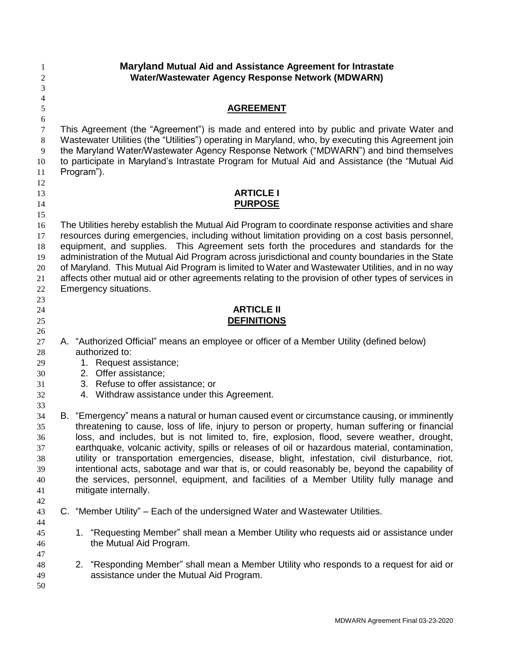| 1<br>$\overline{c}$ | Maryland Mutual Aid and Assistance Agreement for Intrastate<br>Water/Wastewater Agency Response Network (MDWARN)                                                                                 |  |  |  |  |
|---------------------|--------------------------------------------------------------------------------------------------------------------------------------------------------------------------------------------------|--|--|--|--|
| 3<br>4              |                                                                                                                                                                                                  |  |  |  |  |
| 5                   | <b>AGREEMENT</b>                                                                                                                                                                                 |  |  |  |  |
| 6                   |                                                                                                                                                                                                  |  |  |  |  |
| $\tau$<br>8         | This Agreement (the "Agreement") is made and entered into by public and private Water and<br>Wastewater Utilities (the "Utilities") operating in Maryland, who, by executing this Agreement join |  |  |  |  |
| 9                   | the Maryland Water/Wastewater Agency Response Network ("MDWARN") and bind themselves                                                                                                             |  |  |  |  |
| 10                  | to participate in Maryland's Intrastate Program for Mutual Aid and Assistance (the "Mutual Aid                                                                                                   |  |  |  |  |
| 11                  | Program").                                                                                                                                                                                       |  |  |  |  |
| 12                  |                                                                                                                                                                                                  |  |  |  |  |
| 13                  | <b>ARTICLE I</b>                                                                                                                                                                                 |  |  |  |  |
| 14                  | <b>PURPOSE</b>                                                                                                                                                                                   |  |  |  |  |
| 15                  |                                                                                                                                                                                                  |  |  |  |  |
| 16                  | The Utilities hereby establish the Mutual Aid Program to coordinate response activities and share                                                                                                |  |  |  |  |
| 17                  | resources during emergencies, including without limitation providing on a cost basis personnel,                                                                                                  |  |  |  |  |
| 18                  | equipment, and supplies. This Agreement sets forth the procedures and standards for the                                                                                                          |  |  |  |  |
| 19                  | administration of the Mutual Aid Program across jurisdictional and county boundaries in the State                                                                                                |  |  |  |  |
| 20                  | of Maryland. This Mutual Aid Program is limited to Water and Wastewater Utilities, and in no way                                                                                                 |  |  |  |  |
| 21                  | affects other mutual aid or other agreements relating to the provision of other types of services in                                                                                             |  |  |  |  |
| 22                  | Emergency situations.                                                                                                                                                                            |  |  |  |  |
| 23<br>24            | <b>ARTICLE II</b>                                                                                                                                                                                |  |  |  |  |
| 25                  | <b>DEFINITIONS</b>                                                                                                                                                                               |  |  |  |  |
| 26                  |                                                                                                                                                                                                  |  |  |  |  |
| 27                  | A. "Authorized Official" means an employee or officer of a Member Utility (defined below)                                                                                                        |  |  |  |  |
| 28                  | authorized to:                                                                                                                                                                                   |  |  |  |  |
| 29                  | 1. Request assistance;                                                                                                                                                                           |  |  |  |  |
| 30                  | 2. Offer assistance;                                                                                                                                                                             |  |  |  |  |
| 31                  | 3. Refuse to offer assistance; or                                                                                                                                                                |  |  |  |  |
| 32                  | 4. Withdraw assistance under this Agreement.                                                                                                                                                     |  |  |  |  |
| 33                  |                                                                                                                                                                                                  |  |  |  |  |
| 34                  | B. "Emergency" means a natural or human caused event or circumstance causing, or imminently                                                                                                      |  |  |  |  |
| 35                  | threatening to cause, loss of life, injury to person or property, human suffering or financial<br>loss, and includes, but is not limited to, fire, explosion, flood, severe weather, drought,    |  |  |  |  |
| 36<br>37            | earthquake, volcanic activity, spills or releases of oil or hazardous material, contamination,                                                                                                   |  |  |  |  |
| 38                  | utility or transportation emergencies, disease, blight, infestation, civil disturbance, riot,                                                                                                    |  |  |  |  |
| 39                  | intentional acts, sabotage and war that is, or could reasonably be, beyond the capability of                                                                                                     |  |  |  |  |
| 40                  | the services, personnel, equipment, and facilities of a Member Utility fully manage and                                                                                                          |  |  |  |  |
| 41                  | mitigate internally.                                                                                                                                                                             |  |  |  |  |
| 42                  |                                                                                                                                                                                                  |  |  |  |  |
| 43                  | C. "Member Utility" – Each of the undersigned Water and Wastewater Utilities.                                                                                                                    |  |  |  |  |
| 44                  |                                                                                                                                                                                                  |  |  |  |  |
| 45                  | 1. "Requesting Member" shall mean a Member Utility who requests aid or assistance under                                                                                                          |  |  |  |  |
| 46                  | the Mutual Aid Program.                                                                                                                                                                          |  |  |  |  |
| 47                  |                                                                                                                                                                                                  |  |  |  |  |
| 48                  | 2. "Responding Member" shall mean a Member Utility who responds to a request for aid or<br>assistance under the Mutual Aid Program.                                                              |  |  |  |  |
| 49<br>50            |                                                                                                                                                                                                  |  |  |  |  |
|                     |                                                                                                                                                                                                  |  |  |  |  |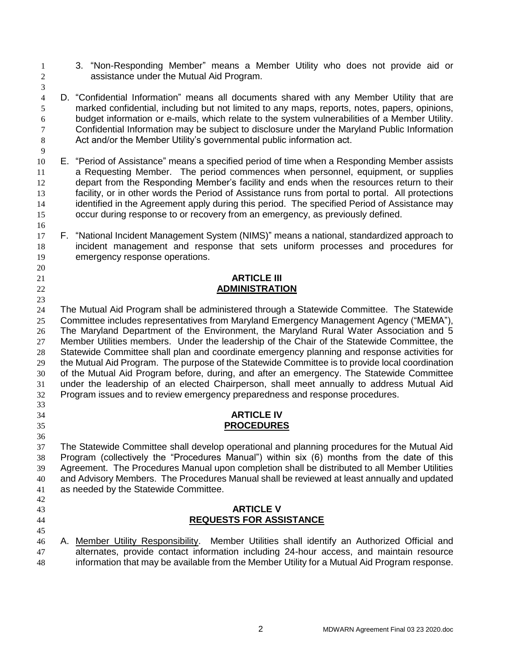- 3. "Non-Responding Member" means a Member Utility who does not provide aid or assistance under the Mutual Aid Program.
- 

 D. "Confidential Information" means all documents shared with any Member Utility that are marked confidential, including but not limited to any maps, reports, notes, papers, opinions, budget information or e-mails, which relate to the system vulnerabilities of a Member Utility. Confidential Information may be subject to disclosure under the Maryland Public Information 8 Act and/or the Member Utility's governmental public information act.

- E. "Period of Assistance" means a specified period of time when a Responding Member assists a Requesting Member. The period commences when personnel, equipment, or supplies depart from the Responding Member's facility and ends when the resources return to their facility, or in other words the Period of Assistance runs from portal to portal. All protections 14 identified in the Agreement apply during this period. The specified Period of Assistance may occur during response to or recovery from an emergency, as previously defined.
- F. "National Incident Management System (NIMS)" means a national, standardized approach to incident management and response that sets uniform processes and procedures for emergency response operations.

## **ARTICLE III ADMINISTRATION**

 The Mutual Aid Program shall be administered through a Statewide Committee. The Statewide Committee includes representatives from Maryland Emergency Management Agency ("MEMA"), The Maryland Department of the Environment, the Maryland Rural Water Association and 5 27 Member Utilities members. Under the leadership of the Chair of the Statewide Committee, the Statewide Committee shall plan and coordinate emergency planning and response activities for the Mutual Aid Program. The purpose of the Statewide Committee is to provide local coordination of the Mutual Aid Program before, during, and after an emergency. The Statewide Committee under the leadership of an elected Chairperson, shall meet annually to address Mutual Aid Program issues and to review emergency preparedness and response procedures. 

#### **ARTICLE IV PROCEDURES**

 The Statewide Committee shall develop operational and planning procedures for the Mutual Aid Program (collectively the "Procedures Manual") within six (6) months from the date of this Agreement. The Procedures Manual upon completion shall be distributed to all Member Utilities and Advisory Members. The Procedures Manual shall be reviewed at least annually and updated as needed by the Statewide Committee. 

# **ARTICLE V**

- **REQUESTS FOR ASSISTANCE**
- 
- A. Member Utility Responsibility. Member Utilities shall identify an Authorized Official and alternates, provide contact information including 24-hour access, and maintain resource information that may be available from the Member Utility for a Mutual Aid Program response.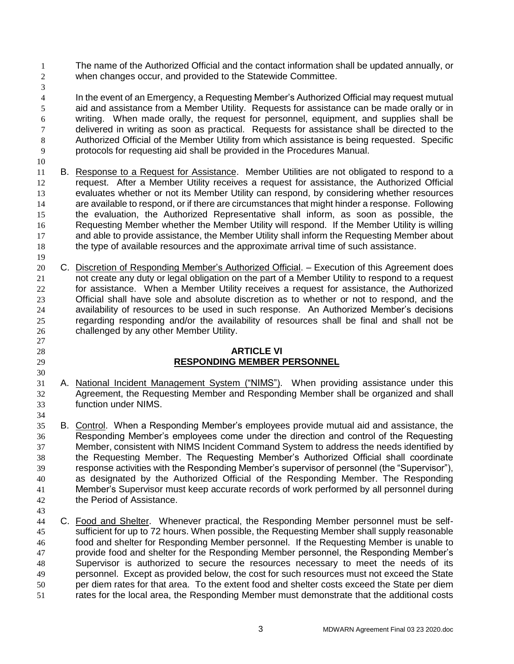- The name of the Authorized Official and the contact information shall be updated annually, or when changes occur, and provided to the Statewide Committee.
- 

 In the event of an Emergency, a Requesting Member's Authorized Official may request mutual aid and assistance from a Member Utility. Requests for assistance can be made orally or in writing. When made orally, the request for personnel, equipment, and supplies shall be 7 delivered in writing as soon as practical. Requests for assistance shall be directed to the Authorized Official of the Member Utility from which assistance is being requested. Specific protocols for requesting aid shall be provided in the Procedures Manual.

- B. Response to a Request for Assistance. Member Utilities are not obligated to respond to a request. After a Member Utility receives a request for assistance, the Authorized Official evaluates whether or not its Member Utility can respond, by considering whether resources are available to respond, or if there are circumstances that might hinder a response. Following the evaluation, the Authorized Representative shall inform, as soon as possible, the Requesting Member whether the Member Utility will respond. If the Member Utility is willing 17 and able to provide assistance, the Member Utility shall inform the Requesting Member about the type of available resources and the approximate arrival time of such assistance.
- C. Discretion of Responding Member's Authorized Official. Execution of this Agreement does not create any duty or legal obligation on the part of a Member Utility to respond to a request for assistance. When a Member Utility receives a request for assistance, the Authorized Official shall have sole and absolute discretion as to whether or not to respond, and the availability of resources to be used in such response. An Authorized Member's decisions regarding responding and/or the availability of resources shall be final and shall not be challenged by any other Member Utility.

# **ARTICLE VI RESPONDING MEMBER PERSONNEL**

- A. National Incident Management System ("NIMS"). When providing assistance under this Agreement, the Requesting Member and Responding Member shall be organized and shall function under NIMS.
- B. Control. When a Responding Member's employees provide mutual aid and assistance, the Responding Member's employees come under the direction and control of the Requesting Member, consistent with NIMS Incident Command System to address the needs identified by the Requesting Member. The Requesting Member's Authorized Official shall coordinate response activities with the Responding Member's supervisor of personnel (the "Supervisor"), as designated by the Authorized Official of the Responding Member. The Responding Member's Supervisor must keep accurate records of work performed by all personnel during the Period of Assistance.
- C. Food and Shelter. Whenever practical, the Responding Member personnel must be self-45 sufficient for up to 72 hours. When possible, the Requesting Member shall supply reasonable food and shelter for Responding Member personnel. If the Requesting Member is unable to provide food and shelter for the Responding Member personnel, the Responding Member's Supervisor is authorized to secure the resources necessary to meet the needs of its personnel. Except as provided below, the cost for such resources must not exceed the State per diem rates for that area. To the extent food and shelter costs exceed the State per diem rates for the local area, the Responding Member must demonstrate that the additional costs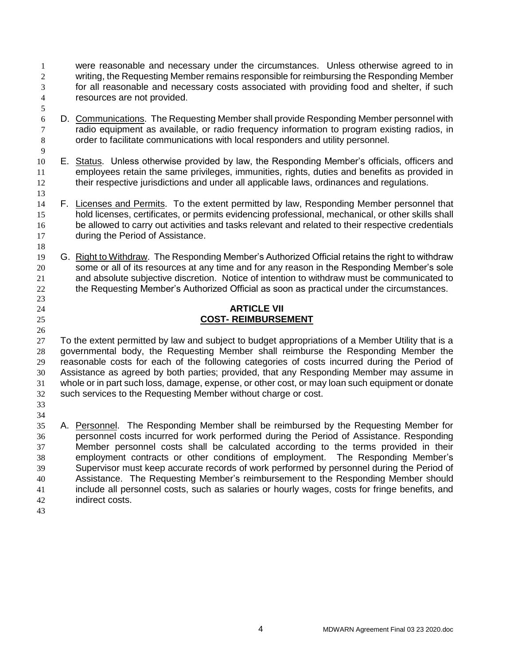- were reasonable and necessary under the circumstances. Unless otherwise agreed to in writing, the Requesting Member remains responsible for reimbursing the Responding Member for all reasonable and necessary costs associated with providing food and shelter, if such resources are not provided.
- D. Communications. The Requesting Member shall provide Responding Member personnel with radio equipment as available, or radio frequency information to program existing radios, in order to facilitate communications with local responders and utility personnel.
- E. Status. Unless otherwise provided by law, the Responding Member's officials, officers and 11 employees retain the same privileges, immunities, rights, duties and benefits as provided in their respective jurisdictions and under all applicable laws, ordinances and regulations.
- F. Licenses and Permits. To the extent permitted by law, Responding Member personnel that hold licenses, certificates, or permits evidencing professional, mechanical, or other skills shall 16 be allowed to carry out activities and tasks relevant and related to their respective credentials during the Period of Assistance.
- G. Right to Withdraw. The Responding Member's Authorized Official retains the right to withdraw some or all of its resources at any time and for any reason in the Responding Member's sole and absolute subjective discretion. Notice of intention to withdraw must be communicated to the Requesting Member's Authorized Official as soon as practical under the circumstances.

# **ARTICLE VII COST- REIMBURSEMENT**

- To the extent permitted by law and subject to budget appropriations of a Member Utility that is a governmental body, the Requesting Member shall reimburse the Responding Member the reasonable costs for each of the following categories of costs incurred during the Period of Assistance as agreed by both parties; provided, that any Responding Member may assume in whole or in part such loss, damage, expense, or other cost, or may loan such equipment or donate such services to the Requesting Member without charge or cost.
- 

- A. Personnel. The Responding Member shall be reimbursed by the Requesting Member for personnel costs incurred for work performed during the Period of Assistance. Responding Member personnel costs shall be calculated according to the terms provided in their employment contracts or other conditions of employment. The Responding Member's Supervisor must keep accurate records of work performed by personnel during the Period of Assistance. The Requesting Member's reimbursement to the Responding Member should include all personnel costs, such as salaries or hourly wages, costs for fringe benefits, and indirect costs.
-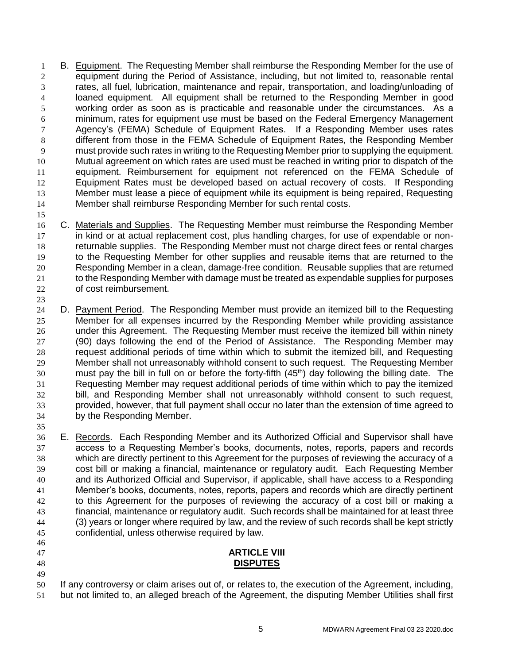B. Equipment. The Requesting Member shall reimburse the Responding Member for the use of equipment during the Period of Assistance, including, but not limited to, reasonable rental rates, all fuel, lubrication, maintenance and repair, transportation, and loading/unloading of loaned equipment. All equipment shall be returned to the Responding Member in good working order as soon as is practicable and reasonable under the circumstances. As a minimum, rates for equipment use must be based on the Federal Emergency Management Agency's (FEMA) Schedule of Equipment Rates. If a Responding Member uses rates different from those in the FEMA Schedule of Equipment Rates, the Responding Member must provide such rates in writing to the Requesting Member prior to supplying the equipment. Mutual agreement on which rates are used must be reached in writing prior to dispatch of the equipment. Reimbursement for equipment not referenced on the FEMA Schedule of Equipment Rates must be developed based on actual recovery of costs. If Responding 13 Member must lease a piece of equipment while its equipment is being repaired, Requesting Member shall reimburse Responding Member for such rental costs.

 C. Materials and Supplies. The Requesting Member must reimburse the Responding Member in kind or at actual replacement cost, plus handling charges, for use of expendable or non- returnable supplies. The Responding Member must not charge direct fees or rental charges to the Requesting Member for other supplies and reusable items that are returned to the Responding Member in a clean, damage-free condition. Reusable supplies that are returned to the Responding Member with damage must be treated as expendable supplies for purposes of cost reimbursement.

 D. Payment Period. The Responding Member must provide an itemized bill to the Requesting Member for all expenses incurred by the Responding Member while providing assistance under this Agreement. The Requesting Member must receive the itemized bill within ninety (90) days following the end of the Period of Assistance. The Responding Member may request additional periods of time within which to submit the itemized bill, and Requesting Member shall not unreasonably withhold consent to such request. The Requesting Member must pay the bill in full on or before the forty-fifth  $(45<sup>th</sup>)$  day following the billing date. The Requesting Member may request additional periods of time within which to pay the itemized bill, and Responding Member shall not unreasonably withhold consent to such request, provided, however, that full payment shall occur no later than the extension of time agreed to by the Responding Member.

36 E. Records. Each Responding Member and its Authorized Official and Supervisor shall have access to a Requesting Member's books, documents, notes, reports, papers and records which are directly pertinent to this Agreement for the purposes of reviewing the accuracy of a cost bill or making a financial, maintenance or regulatory audit. Each Requesting Member and its Authorized Official and Supervisor, if applicable, shall have access to a Responding Member's books, documents, notes, reports, papers and records which are directly pertinent to this Agreement for the purposes of reviewing the accuracy of a cost bill or making a financial, maintenance or regulatory audit. Such records shall be maintained for at least three (3) years or longer where required by law, and the review of such records shall be kept strictly confidential, unless otherwise required by law.

# 

#### **ARTICLE VIII DISPUTES**

 If any controversy or claim arises out of, or relates to, the execution of the Agreement, including, but not limited to, an alleged breach of the Agreement, the disputing Member Utilities shall first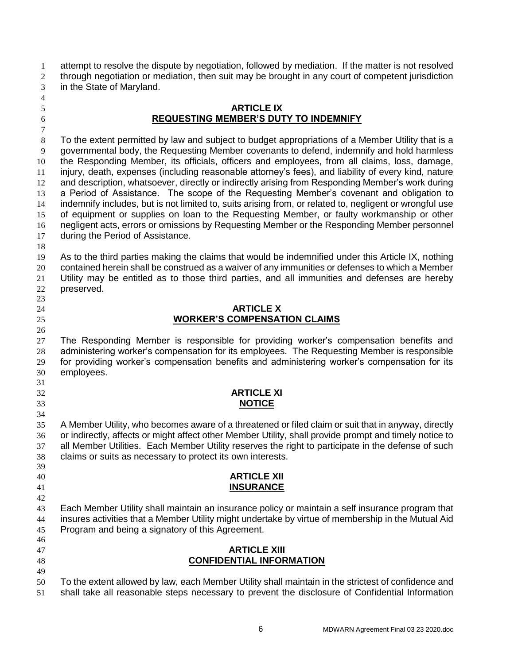attempt to resolve the dispute by negotiation, followed by mediation. If the matter is not resolved through negotiation or mediation, then suit may be brought in any court of competent jurisdiction in the State of Maryland.

## **ARTICLE IX REQUESTING MEMBER'S DUTY TO INDEMNIFY**

 To the extent permitted by law and subject to budget appropriations of a Member Utility that is a governmental body, the Requesting Member covenants to defend, indemnify and hold harmless the Responding Member, its officials, officers and employees, from all claims, loss, damage, injury, death, expenses (including reasonable attorney's fees), and liability of every kind, nature 12 and description, whatsoever, directly or indirectly arising from Responding Member's work during a Period of Assistance. The scope of the Requesting Member's covenant and obligation to indemnify includes, but is not limited to, suits arising from, or related to, negligent or wrongful use of equipment or supplies on loan to the Requesting Member, or faulty workmanship or other negligent acts, errors or omissions by Requesting Member or the Responding Member personnel during the Period of Assistance.

 As to the third parties making the claims that would be indemnified under this Article IX, nothing contained herein shall be construed as a waiver of any immunities or defenses to which a Member Utility may be entitled as to those third parties, and all immunities and defenses are hereby preserved.

#### **ARTICLE X WORKER'S COMPENSATION CLAIMS**

 The Responding Member is responsible for providing worker's compensation benefits and administering worker's compensation for its employees. The Requesting Member is responsible for providing worker's compensation benefits and administering worker's compensation for its employees. 

#### **ARTICLE XI NOTICE**

 A Member Utility, who becomes aware of a threatened or filed claim or suit that in anyway, directly or indirectly, affects or might affect other Member Utility, shall provide prompt and timely notice to all Member Utilities. Each Member Utility reserves the right to participate in the defense of such claims or suits as necessary to protect its own interests. 

## **ARTICLE XII INSURANCE**

43 Each Member Utility shall maintain an insurance policy or maintain a self insurance program that insures activities that a Member Utility might undertake by virtue of membership in the Mutual Aid Program and being a signatory of this Agreement. 

## **ARTICLE XIII CONFIDENTIAL INFORMATION**

 To the extent allowed by law, each Member Utility shall maintain in the strictest of confidence and shall take all reasonable steps necessary to prevent the disclosure of Confidential Information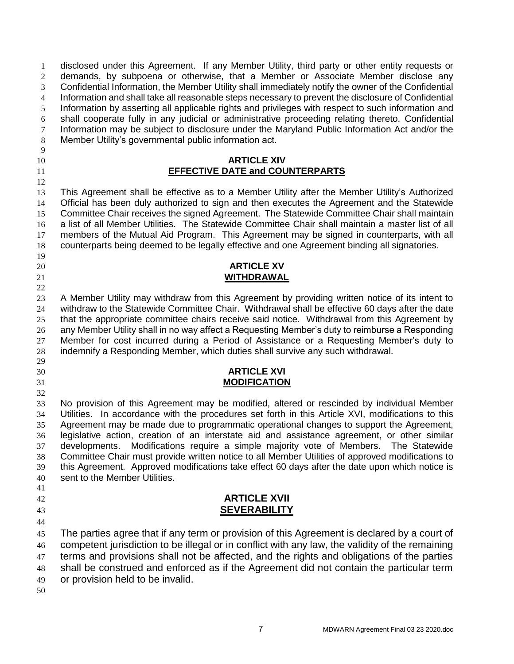disclosed under this Agreement. If any Member Utility, third party or other entity requests or demands, by subpoena or otherwise, that a Member or Associate Member disclose any Confidential Information, the Member Utility shall immediately notify the owner of the Confidential Information and shall take all reasonable steps necessary to prevent the disclosure of Confidential Information by asserting all applicable rights and privileges with respect to such information and shall cooperate fully in any judicial or administrative proceeding relating thereto. Confidential 7 Information may be subject to disclosure under the Maryland Public Information Act and/or the Member Utility's governmental public information act. 

#### **ARTICLE XIV EFFECTIVE DATE and COUNTERPARTS**

 This Agreement shall be effective as to a Member Utility after the Member Utility's Authorized Official has been duly authorized to sign and then executes the Agreement and the Statewide 15 Committee Chair receives the signed Agreement. The Statewide Committee Chair shall maintain a list of all Member Utilities. The Statewide Committee Chair shall maintain a master list of all members of the Mutual Aid Program. This Agreement may be signed in counterparts, with all counterparts being deemed to be legally effective and one Agreement binding all signatories.

#### **ARTICLE XV WITHDRAWAL**

 A Member Utility may withdraw from this Agreement by providing written notice of its intent to withdraw to the Statewide Committee Chair. Withdrawal shall be effective 60 days after the date that the appropriate committee chairs receive said notice. Withdrawal from this Agreement by any Member Utility shall in no way affect a Requesting Member's duty to reimburse a Responding Member for cost incurred during a Period of Assistance or a Requesting Member's duty to indemnify a Responding Member, which duties shall survive any such withdrawal.

#### **ARTICLE XVI MODIFICATION**

 No provision of this Agreement may be modified, altered or rescinded by individual Member Utilities. In accordance with the procedures set forth in this Article XVI, modifications to this Agreement may be made due to programmatic operational changes to support the Agreement, legislative action, creation of an interstate aid and assistance agreement, or other similar developments. Modifications require a simple majority vote of Members. The Statewide Committee Chair must provide written notice to all Member Utilities of approved modifications to this Agreement. Approved modifications take effect 60 days after the date upon which notice is sent to the Member Utilities.

# 

#### **ARTICLE XVII SEVERABILITY**

 The parties agree that if any term or provision of this Agreement is declared by a court of competent jurisdiction to be illegal or in conflict with any law, the validity of the remaining 47 terms and provisions shall not be affected, and the rights and obligations of the parties shall be construed and enforced as if the Agreement did not contain the particular term or provision held to be invalid.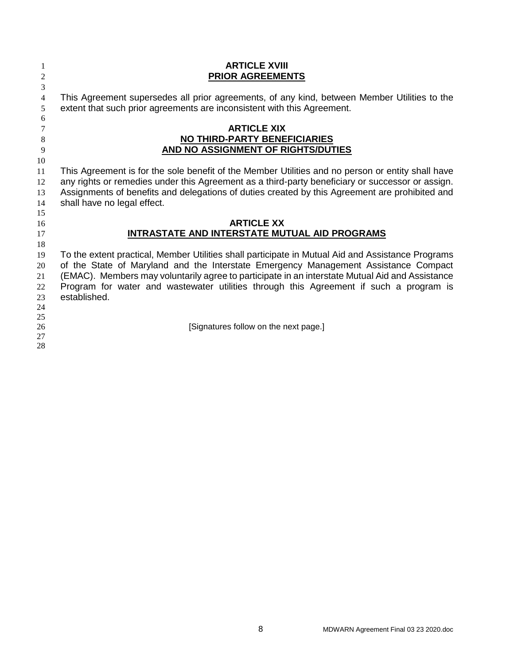| 1<br>$\overline{2}$           | <b>ARTICLE XVIII</b><br><b>PRIOR AGREEMENTS</b>                                                                                                                                                                                                                                                                                                                                                       |
|-------------------------------|-------------------------------------------------------------------------------------------------------------------------------------------------------------------------------------------------------------------------------------------------------------------------------------------------------------------------------------------------------------------------------------------------------|
| 3<br>$\overline{4}$<br>5      | This Agreement supersedes all prior agreements, of any kind, between Member Utilities to the<br>extent that such prior agreements are inconsistent with this Agreement.                                                                                                                                                                                                                               |
| 6<br>7<br>$8\phantom{1}$<br>9 | <b>ARTICLE XIX</b><br><b>NO THIRD-PARTY BENEFICIARIES</b><br>AND NO ASSIGNMENT OF RIGHTS/DUTIES                                                                                                                                                                                                                                                                                                       |
| 10<br>11<br>12<br>13<br>14    | This Agreement is for the sole benefit of the Member Utilities and no person or entity shall have<br>any rights or remedies under this Agreement as a third-party beneficiary or successor or assign.<br>Assignments of benefits and delegations of duties created by this Agreement are prohibited and<br>shall have no legal effect.                                                                |
| 15<br>16<br>17<br>18          | <b>ARTICLE XX</b><br>INTRASTATE AND INTERSTATE MUTUAL AID PROGRAMS                                                                                                                                                                                                                                                                                                                                    |
| 19<br>20<br>21<br>22<br>23    | To the extent practical, Member Utilities shall participate in Mutual Aid and Assistance Programs<br>of the State of Maryland and the Interstate Emergency Management Assistance Compact<br>(EMAC). Members may voluntarily agree to participate in an interstate Mutual Aid and Assistance<br>Program for water and wastewater utilities through this Agreement if such a program is<br>established. |
| 24<br>25<br>26<br>27<br>28    | [Signatures follow on the next page.]                                                                                                                                                                                                                                                                                                                                                                 |